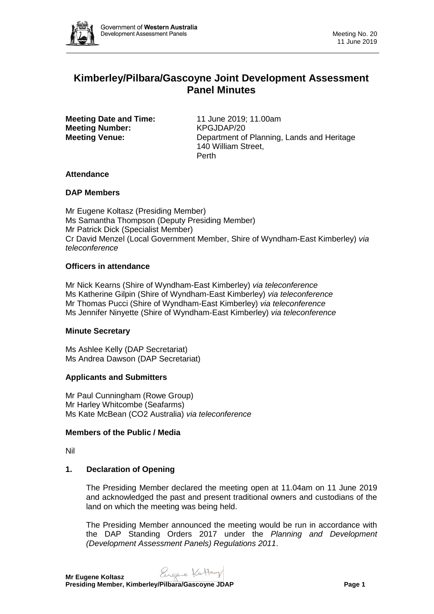

# **Kimberley/Pilbara/Gascoyne Joint Development Assessment Panel Minutes**

**Meeting Date and Time:** 11 June 2019; 11.00am **Meeting Number:** KPGJDAP/20

**Meeting Venue:** Department of Planning, Lands and Heritage 140 William Street, Perth

# **Attendance**

# **DAP Members**

Mr Eugene Koltasz (Presiding Member) Ms Samantha Thompson (Deputy Presiding Member) Mr Patrick Dick (Specialist Member) Cr David Menzel (Local Government Member, Shire of Wyndham-East Kimberley) *via teleconference*

# **Officers in attendance**

Mr Nick Kearns (Shire of Wyndham-East Kimberley) *via teleconference* Ms Katherine Gilpin (Shire of Wyndham-East Kimberley) *via teleconference* Mr Thomas Pucci (Shire of Wyndham-East Kimberley) *via teleconference* Ms Jennifer Ninyette (Shire of Wyndham-East Kimberley) *via teleconference*

# **Minute Secretary**

Ms Ashlee Kelly (DAP Secretariat) Ms Andrea Dawson (DAP Secretariat)

# **Applicants and Submitters**

Mr Paul Cunningham (Rowe Group) Mr Harley Whitcombe (Seafarms) Ms Kate McBean (CO2 Australia) *via teleconference*

# **Members of the Public / Media**

Nil

# **1. Declaration of Opening**

The Presiding Member declared the meeting open at 11.04am on 11 June 2019 and acknowledged the past and present traditional owners and custodians of the land on which the meeting was being held.

The Presiding Member announced the meeting would be run in accordance with the DAP Standing Orders 2017 under the *Planning and Development (Development Assessment Panels) Regulations 2011*.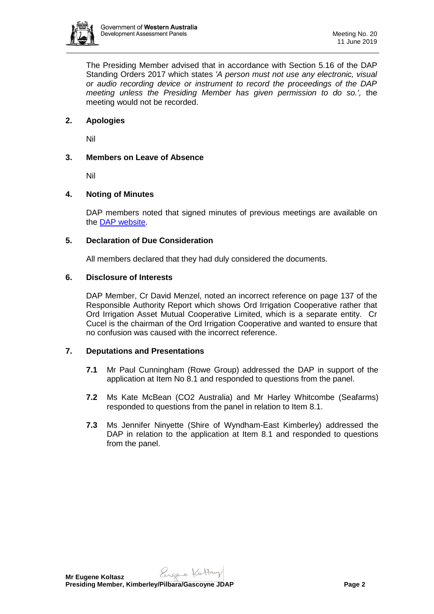

The Presiding Member advised that in accordance with Section 5.16 of the DAP Standing Orders 2017 which states *'A person must not use any electronic, visual or audio recording device or instrument to record the proceedings of the DAP meeting unless the Presiding Member has given permission to do so.',* the meeting would not be recorded.

# **2. Apologies**

Nil

# **3. Members on Leave of Absence**

Nil

# **4. Noting of Minutes**

DAP members noted that signed minutes of previous meetings are available on the [DAP website.](https://www.dplh.wa.gov.au/about/development-assessment-panels/daps-agendas-and-minutes)

# **5. Declaration of Due Consideration**

All members declared that they had duly considered the documents.

#### **6. Disclosure of Interests**

DAP Member, Cr David Menzel, noted an incorrect reference on page 137 of the Responsible Authority Report which shows Ord Irrigation Cooperative rather that Ord Irrigation Asset Mutual Cooperative Limited, which is a separate entity. Cr Cucel is the chairman of the Ord Irrigation Cooperative and wanted to ensure that no confusion was caused with the incorrect reference.

# **7. Deputations and Presentations**

- **7.1** Mr Paul Cunningham (Rowe Group) addressed the DAP in support of the application at Item No 8.1 and responded to questions from the panel.
- **7.2** Ms Kate McBean (CO2 Australia) and Mr Harley Whitcombe (Seafarms) responded to questions from the panel in relation to Item 8.1.
- **7.3** Ms Jennifer Ninyette (Shire of Wyndham-East Kimberley) addressed the DAP in relation to the application at Item 8.1 and responded to questions from the panel.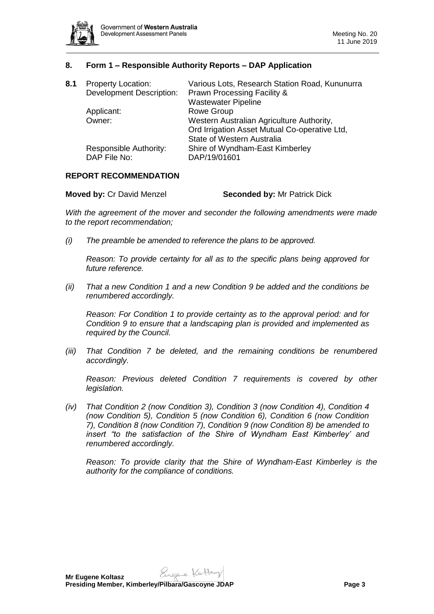

# **8. Form 1 – Responsible Authority Reports – DAP Application**

| <b>Property Location:</b><br><b>Development Description:</b> | Various Lots, Research Station Road, Kununurra<br><b>Prawn Processing Facility &amp;</b><br><b>Wastewater Pipeline</b> |
|--------------------------------------------------------------|------------------------------------------------------------------------------------------------------------------------|
|                                                              | <b>Rowe Group</b>                                                                                                      |
| Owner:                                                       | Western Australian Agriculture Authority,<br>Ord Irrigation Asset Mutual Co-operative Ltd,                             |
|                                                              | <b>State of Western Australia</b>                                                                                      |
| Responsible Authority:<br>DAP File No:                       | Shire of Wyndham-East Kimberley<br>DAP/19/01601                                                                        |
|                                                              | Applicant:                                                                                                             |

#### **REPORT RECOMMENDATION**

#### **Moved by:** Cr David Menzel **Seconded by:** Mr Patrick Dick

*With the agreement of the mover and seconder the following amendments were made to the report recommendation;* 

*(i) The preamble be amended to reference the plans to be approved.*

*Reason: To provide certainty for all as to the specific plans being approved for future reference.*

*(ii) That a new Condition 1 and a new Condition 9 be added and the conditions be renumbered accordingly.*

*Reason: For Condition 1 to provide certainty as to the approval period: and for Condition 9 to ensure that a landscaping plan is provided and implemented as required by the Council.*

*(iii) That Condition 7 be deleted, and the remaining conditions be renumbered accordingly.* 

*Reason: Previous deleted Condition 7 requirements is covered by other legislation.* 

*(iv) That Condition 2 (now Condition 3), Condition 3 (now Condition 4), Condition 4 (now Condition 5), Condition 5 (now Condition 6), Condition 6 (now Condition 7), Condition 8 (now Condition 7), Condition 9 (now Condition 8) be amended to insert "to the satisfaction of the Shire of Wyndham East Kimberley' and renumbered accordingly.* 

*Reason: To provide clarity that the Shire of Wyndham-East Kimberley is the authority for the compliance of conditions.*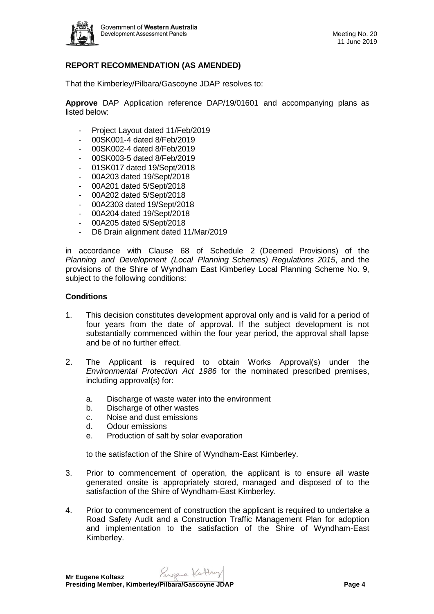

# **REPORT RECOMMENDATION (AS AMENDED)**

That the Kimberley/Pilbara/Gascoyne JDAP resolves to:

**Approve** DAP Application reference DAP/19/01601 and accompanying plans as listed below:

- Project Layout dated 11/Feb/2019
- 00SK001-4 dated 8/Feb/2019
- 00SK002-4 dated 8/Feb/2019
- 00SK003-5 dated 8/Feb/2019
- 01SK017 dated 19/Sept/2018
- 00A203 dated 19/Sept/2018
- 00A201 dated 5/Sept/2018
- 00A202 dated 5/Sept/2018
- 00A2303 dated 19/Sept/2018
- 00A204 dated 19/Sept/2018
- 00A205 dated 5/Sept/2018
- D6 Drain alignment dated 11/Mar/2019

in accordance with Clause 68 of Schedule 2 (Deemed Provisions) of the *Planning and Development (Local Planning Schemes) Regulations 2015*, and the provisions of the Shire of Wyndham East Kimberley Local Planning Scheme No. 9, subject to the following conditions:

#### **Conditions**

- 1. This decision constitutes development approval only and is valid for a period of four years from the date of approval. If the subject development is not substantially commenced within the four year period, the approval shall lapse and be of no further effect.
- 2. The Applicant is required to obtain Works Approval(s) under the *Environmental Protection Act 1986* for the nominated prescribed premises, including approval(s) for:
	- a. Discharge of waste water into the environment
	- b. Discharge of other wastes
	- c. Noise and dust emissions
	- d. Odour emissions
	- e. Production of salt by solar evaporation

to the satisfaction of the Shire of Wyndham-East Kimberley.

- 3. Prior to commencement of operation, the applicant is to ensure all waste generated onsite is appropriately stored, managed and disposed of to the satisfaction of the Shire of Wyndham-East Kimberley.
- 4. Prior to commencement of construction the applicant is required to undertake a Road Safety Audit and a Construction Traffic Management Plan for adoption and implementation to the satisfaction of the Shire of Wyndham-East Kimberley.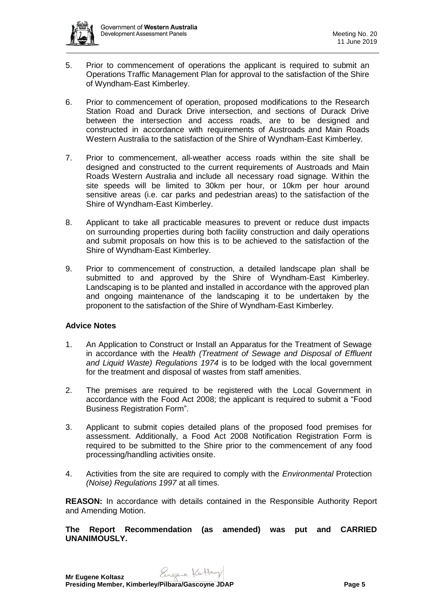- 5. Prior to commencement of operations the applicant is required to submit an Operations Traffic Management Plan for approval to the satisfaction of the Shire of Wyndham-East Kimberley.
- 6. Prior to commencement of operation, proposed modifications to the Research Station Road and Durack Drive intersection, and sections of Durack Drive between the intersection and access roads, are to be designed and constructed in accordance with requirements of Austroads and Main Roads Western Australia to the satisfaction of the Shire of Wyndham-East Kimberley.
- 7. Prior to commencement, all-weather access roads within the site shall be designed and constructed to the current requirements of Austroads and Main Roads Western Australia and include all necessary road signage. Within the site speeds will be limited to 30km per hour, or 10km per hour around sensitive areas (i.e. car parks and pedestrian areas) to the satisfaction of the Shire of Wyndham-East Kimberley.
- 8. Applicant to take all practicable measures to prevent or reduce dust impacts on surrounding properties during both facility construction and daily operations and submit proposals on how this is to be achieved to the satisfaction of the Shire of Wyndham-East Kimberley.
- 9. Prior to commencement of construction, a detailed landscape plan shall be submitted to and approved by the Shire of Wyndham-East Kimberley. Landscaping is to be planted and installed in accordance with the approved plan and ongoing maintenance of the landscaping it to be undertaken by the proponent to the satisfaction of the Shire of Wyndham-East Kimberley.

# **Advice Notes**

- 1. An Application to Construct or Install an Apparatus for the Treatment of Sewage in accordance with the *Health (Treatment of Sewage and Disposal of Effluent and Liquid Waste) Regulations 1974* is to be lodged with the local government for the treatment and disposal of wastes from staff amenities.
- 2. The premises are required to be registered with the Local Government in accordance with the Food Act 2008; the applicant is required to submit a "Food Business Registration Form".
- 3. Applicant to submit copies detailed plans of the proposed food premises for assessment. Additionally, a Food Act 2008 Notification Registration Form is required to be submitted to the Shire prior to the commencement of any food processing/handling activities onsite.
- 4. Activities from the site are required to comply with the *Environmental* Protection *(Noise) Regulations 1997* at all times.

**REASON:** In accordance with details contained in the Responsible Authority Report and Amending Motion.

**The Report Recommendation (as amended) was put and CARRIED UNANIMOUSLY.**